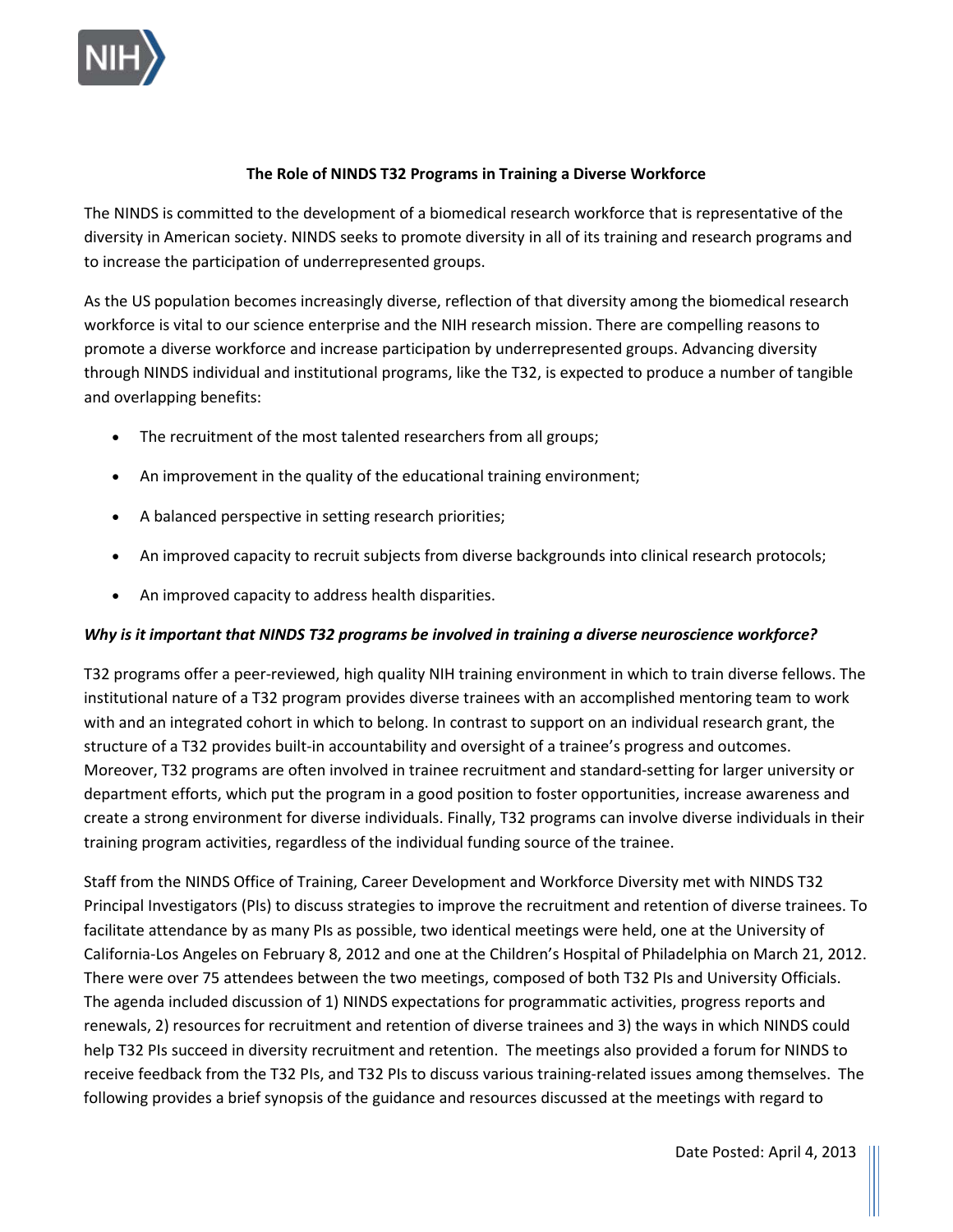

#### **The Role of NINDS T32 Programs in Training a Diverse Workforce**

 diversity in American society. NINDS seeks to promote diversity in all of its training and research programs and The NINDS is committed to the development of a biomedical research workforce that is representative of the to increase the participation of underrepresented groups.

 workforce is vital to our science enterprise and the NIH research mission. There are compelling reasons to As the US population becomes increasingly diverse, reflection of that diversity among the biomedical research promote a diverse workforce and increase participation by underrepresented groups. Advancing diversity through NINDS individual and institutional programs, like the T32, is expected to produce a number of tangible and overlapping benefits:

- The recruitment of the most talented researchers from all groups;
- An improvement in the quality of the educational training environment;
- A balanced perspective in setting research priorities;
- An improved capacity to recruit subjects from diverse backgrounds into clinical research protocols;
- An improved capacity to address health disparities.

# *Why is it important that NINDS T32 programs be involved in training a diverse neuroscience workforce?*

 institutional nature of a T32 program provides diverse trainees with an accomplished mentoring team to work with and an integrated cohort in which to belong. In contrast to support on an individual research grant, the T32 programs offer a peer-reviewed, high quality NIH training environment in which to train diverse fellows. The structure of a T32 provides built-in accountability and oversight of a trainee's progress and outcomes. Moreover, T32 programs are often involved in trainee recruitment and standard-setting for larger university or department efforts, which put the program in a good position to foster opportunities, increase awareness and create a strong environment for diverse individuals. Finally, T32 programs can involve diverse individuals in their training program activities, regardless of the individual funding source of the trainee.

 Staff from the NINDS Office of Training, Career Development and Workforce Diversity met with NINDS T32 Principal Investigators (PIs) to discuss strategies to improve the recruitment and retention of diverse trainees. To facilitate attendance by as many PIs as possible, two identical meetings were held, one at the University of California-Los Angeles on February 8, 2012 and one at the Children's Hospital of Philadelphia on March 21, 2012. There were over 75 attendees between the two meetings, composed of both T32 PIs and University Officials. help T32 PIs succeed in diversity recruitment and retention. The meetings also provided a forum for NINDS to receive feedback from the T32 PIs, and T32 PIs to discuss various training-related issues among themselves. The following provides a brief synopsis of the guidance and resources discussed at the meetings with regard to The agenda included discussion of 1) NINDS expectations for programmatic activities, progress reports and renewals, 2) resources for recruitment and retention of diverse trainees and 3) the ways in which NINDS could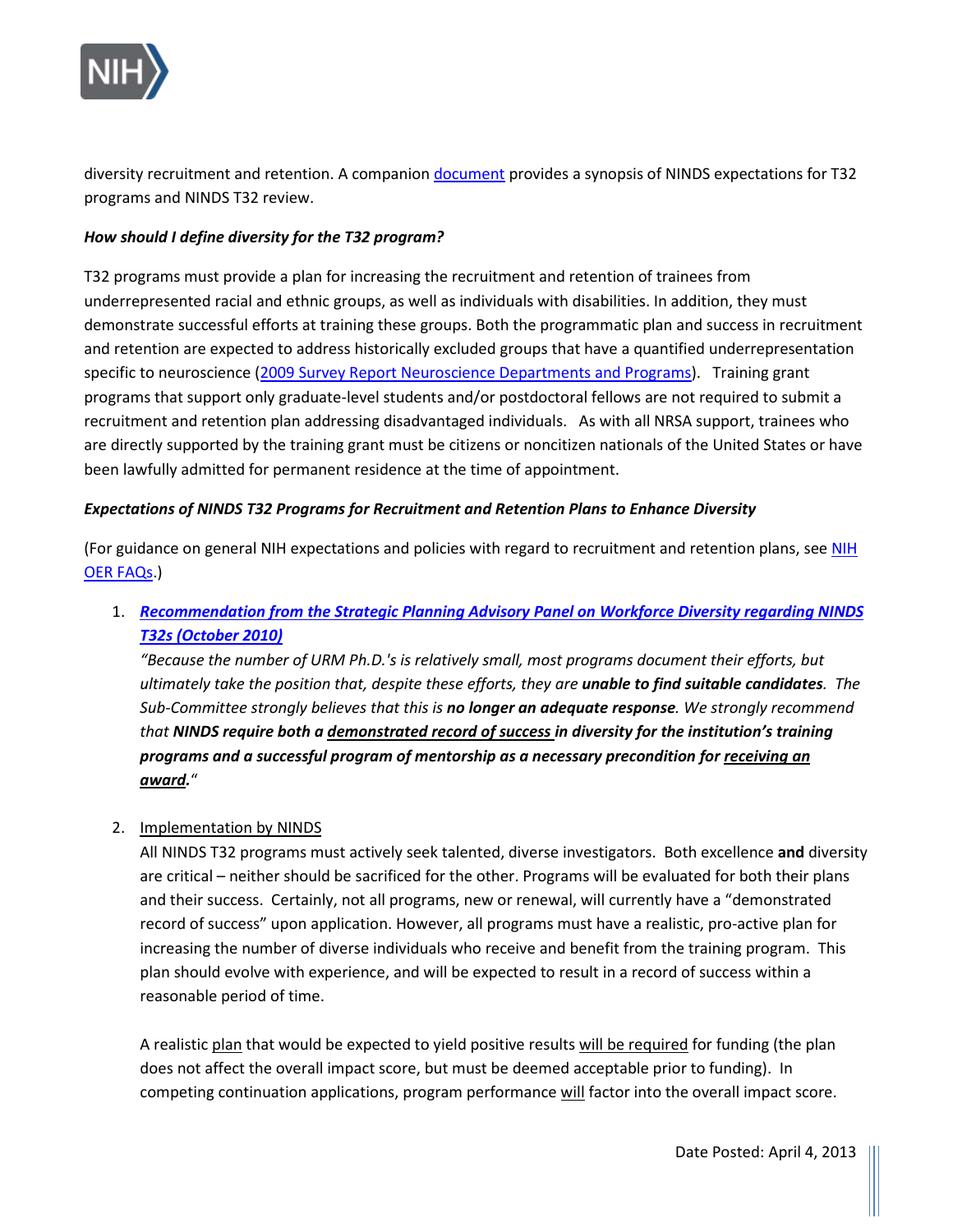

diversity recruitment and retention. A companio[n document](https://www.ninds.nih.gov/sites/default/files/T32_guide_508C.pdf) provides a synopsis of NINDS expectations for T32 programs and NINDS T32 review.

## *How should I define diversity for the T32 program?*

 T32 programs must provide a plan for increasing the recruitment and retention of trainees from underrepresented racial and ethnic groups, as well as individuals with disabilities. In addition, they must specific to neuroscience [\(2009 Survey Report Neuroscience Departments and Programs\)](http://www.sfn.org/careers-and-training/higher-education-and-training/%7E/media/SfN/Documents/Survey%20Reports/2009%20Survey%20Report%20FINAL/2009%20Survey%20Report%20FINAL.ashx). Training grant programs that support only graduate-level students and/or postdoctoral fellows are not required to submit a recruitment and retention plan addressing disadvantaged individuals. As with all NRSA support, trainees who been lawfully admitted for permanent residence at the time of appointment. demonstrate successful efforts at training these groups. Both the programmatic plan and success in recruitment and retention are expected to address historically excluded groups that have a quantified underrepresentation are directly supported by the training grant must be citizens or noncitizen nationals of the United States or have

### *Expectations of NINDS T32 Programs for Recruitment and Retention Plans to Enhance Diversity*

(For guidance on general NIH expectations and policies with regard to recruitment and retention plans, see [NIH](https://grants.nih.gov/grants/oer.htm)  [OER FAQs.](https://grants.nih.gov/grants/oer.htm))

 1.*[Recommendation from the Strategic Planning Advisory Panel on Workforce Diversity regarding NINDS](https://www.ninds.nih.gov/About-NINDS/Strategic-Plans-Evaluations/Strategic-Plans/Report-Strategic-Planning-Advisory-Panel)  [T32s \(October 2010\)](https://www.ninds.nih.gov/About-NINDS/Strategic-Plans-Evaluations/Strategic-Plans/Report-Strategic-Planning-Advisory-Panel)* 

 *ultimately take the position that, despite these efforts, they are unable to find suitable candidates. The Sub-Committee strongly believes that this is no longer an adequate response. We strongly recommend programs and a successful program of mentorship as a necessary precondition for receiving an "Because the number of URM Ph.D.'s is relatively small, most programs document their efforts, but that NINDS require both a demonstrated record of success in diversity for the institution's training award.*"

#### 2. Implementation by NINDS

 All NINDS T32 programs must actively seek talented, diverse investigators. Both excellence **and** diversity are critical – neither should be sacrificed for the other. Programs will be evaluated for both their plans and their success. Certainly, not all programs, new or renewal, will currently have a "demonstrated increasing the number of diverse individuals who receive and benefit from the training program. This record of success" upon application. However, all programs must have a realistic, pro-active plan for plan should evolve with experience, and will be expected to result in a record of success within a reasonable period of time.

A realistic plan that would be expected to yield positive results will be required for funding (the plan does not affect the overall impact score, but must be deemed acceptable prior to funding). In competing continuation applications, program performance will factor into the overall impact score.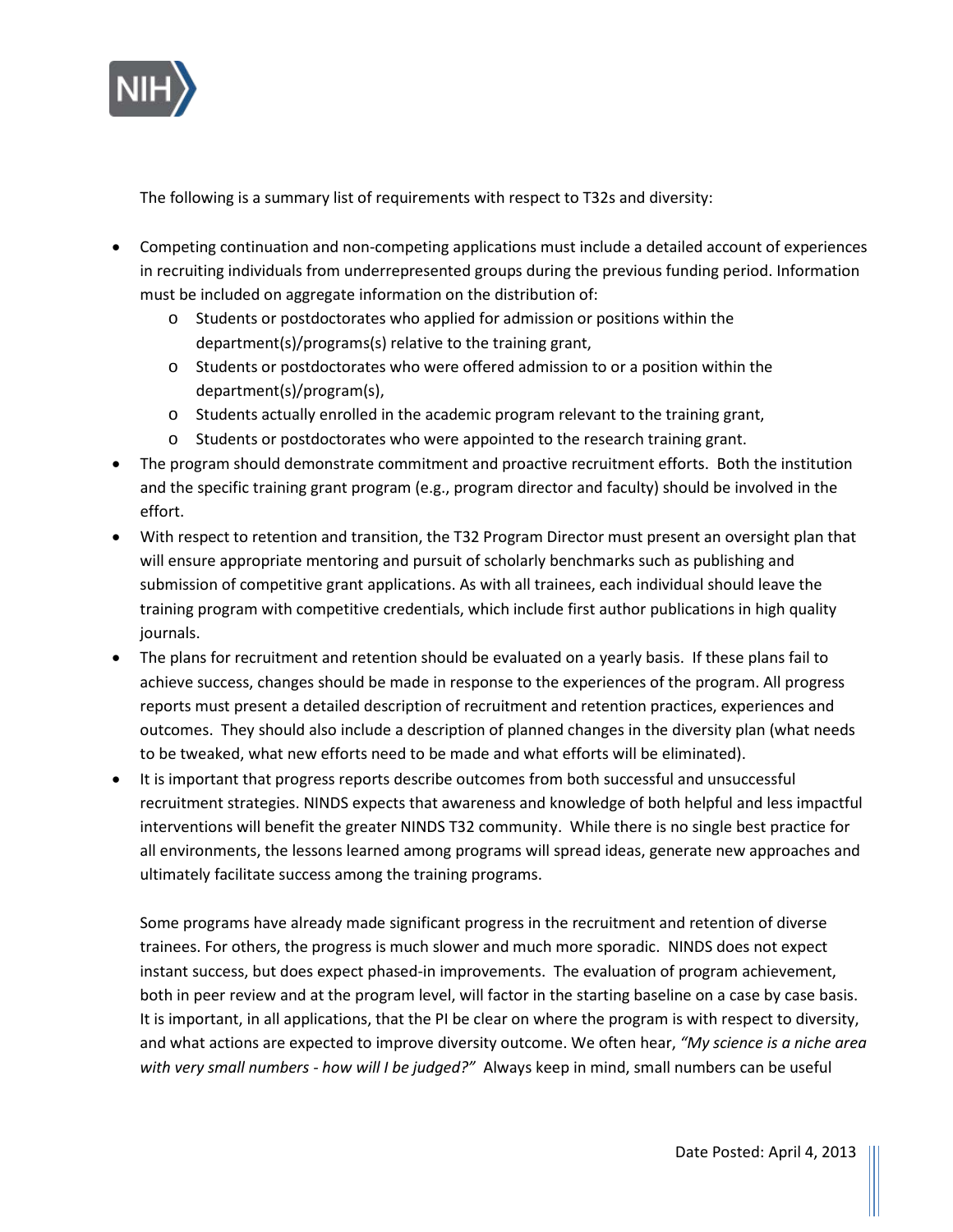

The following is a summary list of requirements with respect to T32s and diversity:

- •Competing continuation and non-competing applications must include a detailed account of experiences in recruiting individuals from underrepresented groups during the previous funding period. Information must be included on aggregate information on the distribution of:
	- $\circ$  Students or postdoctorates who applied for admission or positions within the department(s)/programs(s) relative to the training grant, department(s)/programs(s) relative to the training grant,
	- $\circ$  Students or postdoctorates who were offered admission to or a position within the department(s)/program(s),
	- $\circ$  Students actually enrolled in the academic program relevant to the training grant,
	- $\circ$  Students or postdoctorates who were appointed to the research training grant.
- •The program should demonstrate commitment and proactive recruitment efforts. Both the institution and the specific training grant program (e.g., program director and faculty) should be involved in the effort.
- •With respect to retention and transition, the T32 Program Director must present an oversight plan that will ensure appropriate mentoring and pursuit of scholarly benchmarks such as publishing and submission of competitive grant applications. As with all trainees, each individual should leave the training program with competitive credentials, which include first author publications in high quality journals.
- •The plans for recruitment and retention should be evaluated on a yearly basis. If these plans fail to outcomes. They should also include a description of planned changes in the diversity plan (what needs achieve success, changes should be made in response to the experiences of the program. All progress reports must present a detailed description of recruitment and retention practices, experiences and to be tweaked, what new efforts need to be made and what efforts will be eliminated).
- •It is important that progress reports describe outcomes from both successful and unsuccessful interventions will benefit the greater NINDS T32 community. While there is no single best practice for recruitment strategies. NINDS expects that awareness and knowledge of both helpful and less impactful all environments, the lessons learned among programs will spread ideas, generate new approaches and ultimately facilitate success among the training programs.

 trainees. For others, the progress is much slower and much more sporadic. NINDS does not expect It is important, in all applications, that the PI be clear on where the program is with respect to diversity, and what actions are expected to improve diversity outcome. We often hear, *"My science is a niche area with very small numbers - how will I be judged?"* Always keep in mind, small numbers can be useful Some programs have already made significant progress in the recruitment and retention of diverse instant success, but does expect phased-in improvements. The evaluation of program achievement, both in peer review and at the program level, will factor in the starting baseline on a case by case basis.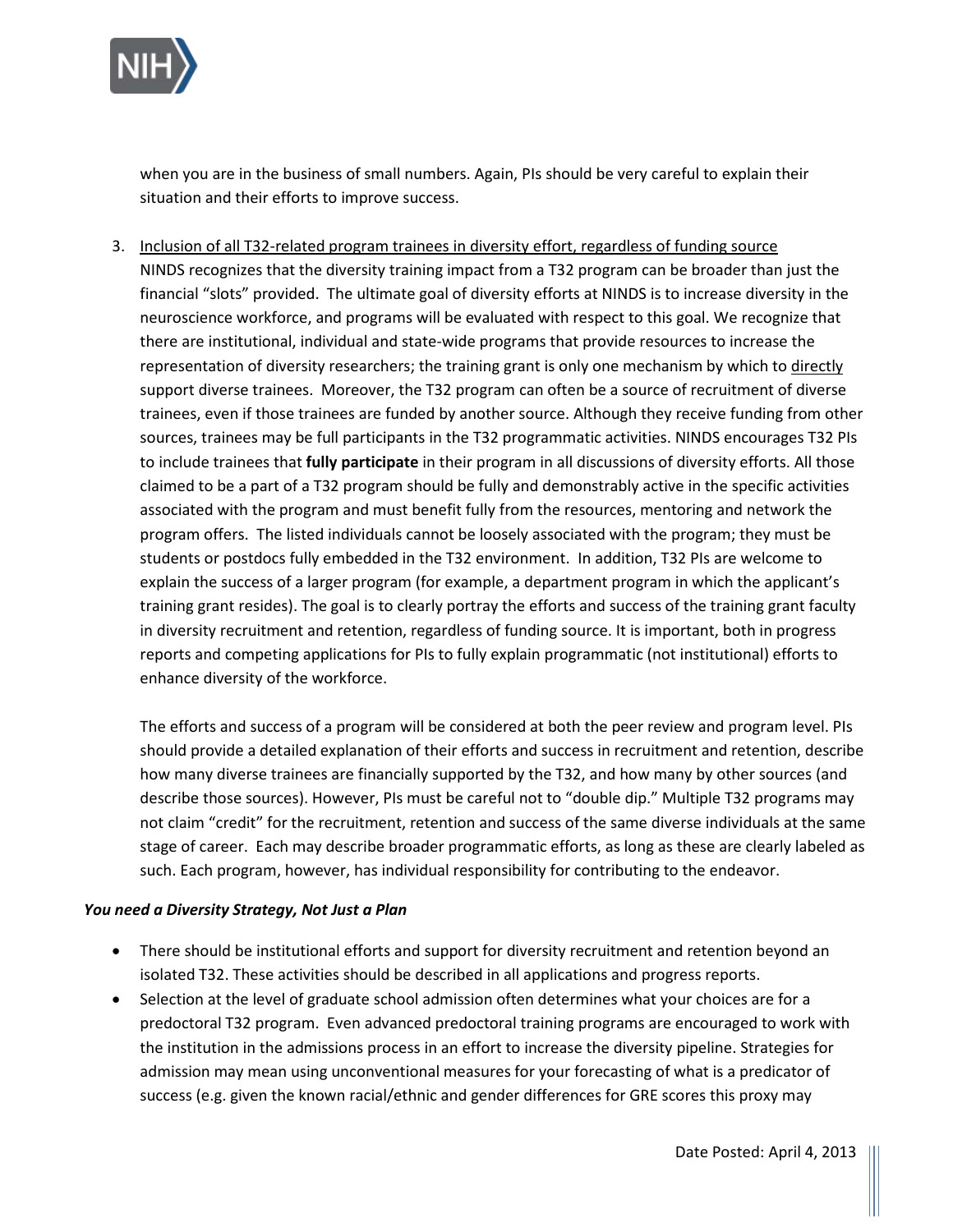

 situation and their efforts to improve success. when you are in the business of small numbers. Again, PIs should be very careful to explain their

representation of diversity researchers; the training grant is only one mechanism by which to directly support diverse trainees. Moreover, the T32 program can often be a source of recruitment of diverse to include trainees that **fully participate** in their program in all discussions of diversity efforts. All those claimed to be a part of a T32 program should be fully and demonstrably active in the specific activities program offers. The listed individuals cannot be loosely associated with the program; they must be students or postdocs fully embedded in the T32 environment. In addition, T32 PIs are welcome to explain the success of a larger program (for example, a department program in which the applicant's training grant resides). The goal is to clearly portray the efforts and success of the training grant faculty 3. Inclusion of all T32-related program trainees in diversity effort, regardless of funding source NINDS recognizes that the diversity training impact from a T32 program can be broader than just the financial "slots" provided. The ultimate goal of diversity efforts at NINDS is to increase diversity in the neuroscience workforce, and programs will be evaluated with respect to this goal. We recognize that there are institutional, individual and state-wide programs that provide resources to increase the trainees, even if those trainees are funded by another source. Although they receive funding from other sources, trainees may be full participants in the T32 programmatic activities. NINDS encourages T32 PIs associated with the program and must benefit fully from the resources, mentoring and network the in diversity recruitment and retention, regardless of funding source. It is important, both in progress reports and competing applications for PIs to fully explain programmatic (not institutional) efforts to enhance diversity of the workforce.

 describe those sources). However, PIs must be careful not to "double dip." Multiple T32 programs may not claim "credit" for the recruitment, retention and success of the same diverse individuals at the same stage of career. Each may describe broader programmatic efforts, as long as these are clearly labeled as The efforts and success of a program will be considered at both the peer review and program level. PIs should provide a detailed explanation of their efforts and success in recruitment and retention, describe how many diverse trainees are financially supported by the T32, and how many by other sources (and such. Each program, however, has individual responsibility for contributing to the endeavor.

#### *You need a Diversity Strategy, Not Just a Plan*

- isolated T32. These activities should be described in all applications and progress reports. •There should be institutional efforts and support for diversity recruitment and retention beyond an
- •Selection at the level of graduate school admission often determines what your choices are for a success (e.g. given the known racial/ethnic and gender differences for GRE scores this proxy may  $\bullet$ predoctoral T32 program. Even advanced predoctoral training programs are encouraged to work with the institution in the admissions process in an effort to increase the diversity pipeline. Strategies for admission may mean using unconventional measures for your forecasting of what is a predicator of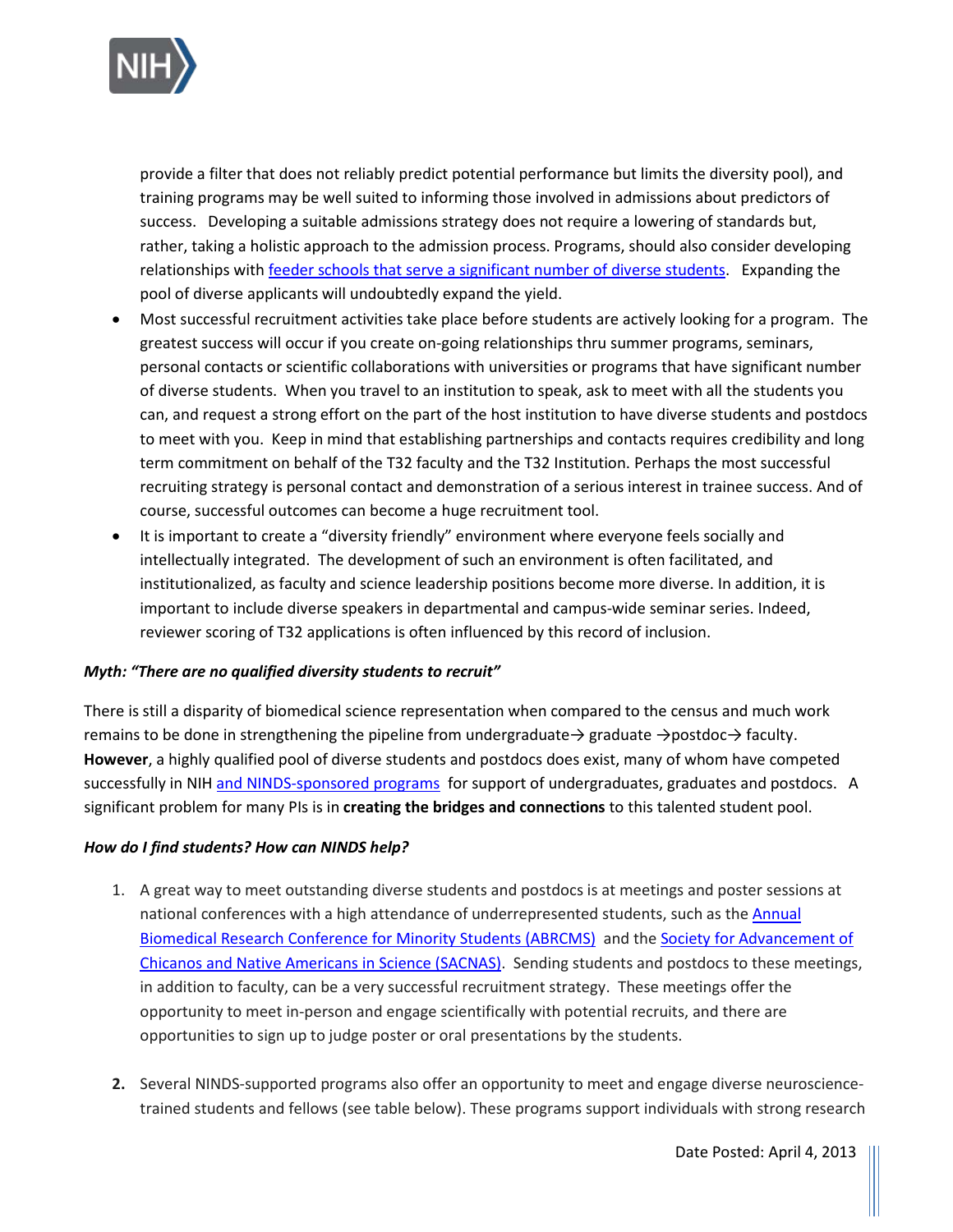

 training programs may be well suited to informing those involved in admissions about predictors of success. Developing a suitable admissions strategy does not require a lowering of standards but, relationships wit[h feeder schools that serve a significant number of diverse students.](http://www2.ed.gov/about/offices/list/ocr/edlite-minorityinst.html) Expanding the pool of diverse applicants will undoubtedly expand the yield. provide a filter that does not reliably predict potential performance but limits the diversity pool), and rather, taking a holistic approach to the admission process. Programs, should also consider developing

- •Most successful recruitment activities take place before students are actively looking for a program. The of diverse students. When you travel to an institution to speak, ask to meet with all the students you to meet with you. Keep in mind that establishing partnerships and contacts requires credibility and long greatest success will occur if you create on-going relationships thru summer programs, seminars, personal contacts or scientific collaborations with universities or programs that have significant number can, and request a strong effort on the part of the host institution to have diverse students and postdocs term commitment on behalf of the T32 faculty and the T32 Institution. Perhaps the most successful recruiting strategy is personal contact and demonstration of a serious interest in trainee success. And of course, successful outcomes can become a huge recruitment tool.
- •It is important to create a "diversity friendly" environment where everyone feels socially and institutionalized, as faculty and science leadership positions become more diverse. In addition, it is intellectually integrated. The development of such an environment is often facilitated, and important to include diverse speakers in departmental and campus-wide seminar series. Indeed, reviewer scoring of T32 applications is often influenced by this record of inclusion.

#### *Myth: "There are no qualified diversity students to recruit"*

successfully in NIH [and NINDS-sponsored programs](https://www.ninds.nih.gov/About-NINDS/Workforce-Diversity/Diversity-Resources) for support of undergraduates, graduates and postdocs. A significant problem for many PIs is in **creating the bridges and connections** to this talented student pool. There is still a disparity of biomedical science representation when compared to the census and much work remains to be done in strengthening the pipeline from undergraduate → graduate →postdoc→ faculty. **However**, a highly qualified pool of diverse students and postdocs does exist, many of whom have competed

#### *How do I find students? How can NINDS help?*

- national conferences with a high attendance of underrepresented students, such as the *Annual* [Biomedical Research Conference for Minority Students \(ABRCMS\)](http://www.abrcms.org/index.html) and the Society for Advancement of [Chicanos and Native Americans in Science \(SACNAS\).](http://www.sacnas.org/) Sending students and postdocs to these meetings, in addition to faculty, can be a very successful recruitment strategy. These meetings offer the opportunity to meet in-person and engage scientifically with potential recruits, and there are opportunities to sign up to judge poster or oral presentations by the students. 1. A great way to meet outstanding diverse students and postdocs is at meetings and poster sessions at
- **2.**Several NINDS-supported programs also offer an opportunity to meet and engage diverse neurosciencetrained students and fellows (see table below). These programs support individuals with strong research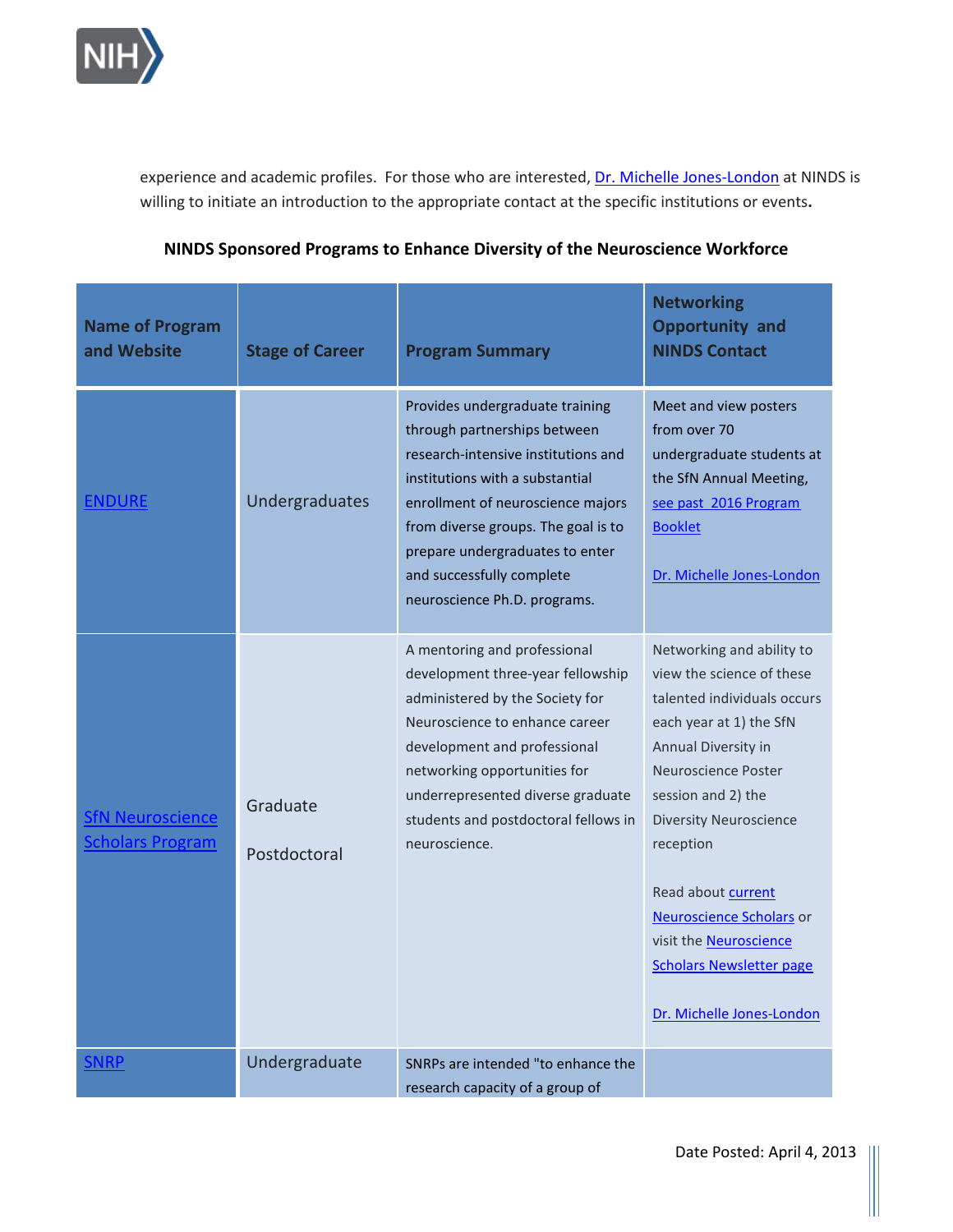

experience and academic profiles. For those who are interested, **Dr. Michelle Jones-London** at NINDS is willing to initiate an introduction to the appropriate contact at the specific institutions or events**.** 

| <b>Name of Program</b><br>and Website              | <b>Stage of Career</b>   | <b>Program Summary</b>                                                                                                                                                                                                                                                                                                | <b>Networking</b><br><b>Opportunity and</b><br><b>NINDS Contact</b>                                                                                                                                                                                                                                                                                                                   |
|----------------------------------------------------|--------------------------|-----------------------------------------------------------------------------------------------------------------------------------------------------------------------------------------------------------------------------------------------------------------------------------------------------------------------|---------------------------------------------------------------------------------------------------------------------------------------------------------------------------------------------------------------------------------------------------------------------------------------------------------------------------------------------------------------------------------------|
| <b>ENDURE</b>                                      | Undergraduates           | Provides undergraduate training<br>through partnerships between<br>research-intensive institutions and<br>institutions with a substantial<br>enrollment of neuroscience majors<br>from diverse groups. The goal is to<br>prepare undergraduates to enter<br>and successfully complete<br>neuroscience Ph.D. programs. | Meet and view posters<br>from over 70<br>undergraduate students at<br>the SfN Annual Meeting,<br>see past 2016 Program<br><b>Booklet</b><br>Dr. Michelle Jones-London                                                                                                                                                                                                                 |
| <b>SfN Neuroscience</b><br><b>Scholars Program</b> | Graduate<br>Postdoctoral | A mentoring and professional<br>development three-year fellowship<br>administered by the Society for<br>Neuroscience to enhance career<br>development and professional<br>networking opportunities for<br>underrepresented diverse graduate<br>students and postdoctoral fellows in<br>neuroscience.                  | Networking and ability to<br>view the science of these<br>talented individuals occurs<br>each year at 1) the SfN<br>Annual Diversity in<br>Neuroscience Poster<br>session and 2) the<br><b>Diversity Neuroscience</b><br>reception<br>Read about current<br>Neuroscience Scholars or<br>visit the <b>Neuroscience</b><br><b>Scholars Newsletter page</b><br>Dr. Michelle Jones-London |
| <b>SNRP</b>                                        | Undergraduate            | SNRPs are intended "to enhance the<br>research capacity of a group of                                                                                                                                                                                                                                                 |                                                                                                                                                                                                                                                                                                                                                                                       |

# **NINDS Sponsored Programs to Enhance Diversity of the Neuroscience Workforce**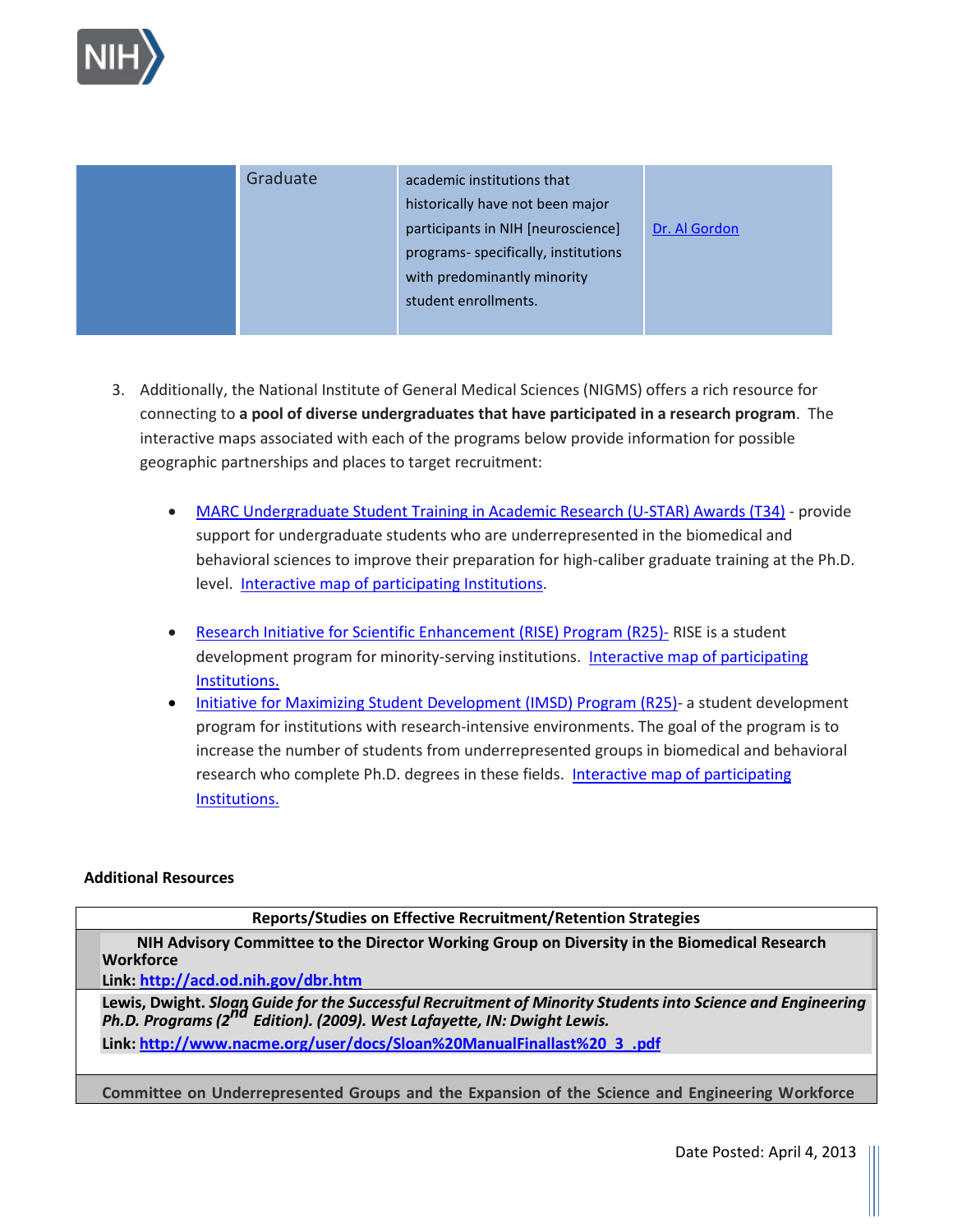

| Graduate | academic institutions that           |               |
|----------|--------------------------------------|---------------|
|          | historically have not been major     |               |
|          | participants in NIH [neuroscience]   | Dr. Al Gordon |
|          | programs- specifically, institutions |               |
|          | with predominantly minority          |               |
|          | student enrollments.                 |               |
|          |                                      |               |

- 3. Additionally, the National Institute of General Medical Sciences (NIGMS) offers a rich resource for connecting to **a pool of diverse undergraduates that have participated in a research program**. The interactive maps associated with each of the programs below provide information for possible geographic partnerships and places to target recruitment:
	- [MARC Undergraduate Student Training in Academic Research \(U-STAR\) Awards \(T34\)](http://www.nigms.nih.gov/Training/MARC/USTARAwards.htm)  provide support for undergraduate students who are underrepresented in the biomedical and level. [Interactive map of participating Institutions.](http://publications.nigms.nih.gov/multimedia/map/marc/) behavioral sciences to improve their preparation for high-caliber graduate training at the Ph.D.
	- development program for minority-serving institutions. Interactive map of participating • [Research Initiative for Scientific Enhancement \(RISE\) Program \(R25\)-](http://www.nigms.nih.gov/training/MBRS/RISEDescription.htm)RISE is a student [Institutions.](http://www.nigms.nih.gov/training/MBRS/PartInstRISE.htm)
	- increase the number of students from underrepresented groups in biomedical and behavioral research who complete Ph.D. degrees in these fields. Interactive map of participating • [Initiative for Maximizing Student Development \(IMSD\) Program \(R25\)-](http://www.nigms.nih.gov/training/MBRS/IMSDDescription.htm) a student development program for institutions with research-intensive environments. The goal of the program is to [Institutions.](http://publications.nigms.nih.gov/multimedia/map/imsd/)

#### **Additional Resources**

# **Reports/Studies on Effective Recruitment/Retention Strategies**

**NIH Advisory Committee to the Director Working Group on Diversity in the Biomedical Research** 

**Wor[kforce](http://acd.od.nih.gov/dbr.htm) Link:<http://acd.od.nih.gov/dbr.htm>**

**Lewis, Dwight.** *Sloan Guide for the Successful Recruitment of Minority Students into Science and Engineering Ph.D. Programs (2nd Edition). (2009). West Lafayette, IN: Dwight Lewis.*  **Link[: http://www.nacme.org/user/docs/Sloan%20ManualFinallast%20\\_3\\_.pdf](http://www.nacme.org/user/docs/Sloan%20ManualFinallast%20_3_.pdf)** 

**Committee on Underrepresented Groups and the Expansion of the Science and Engineering Workforce**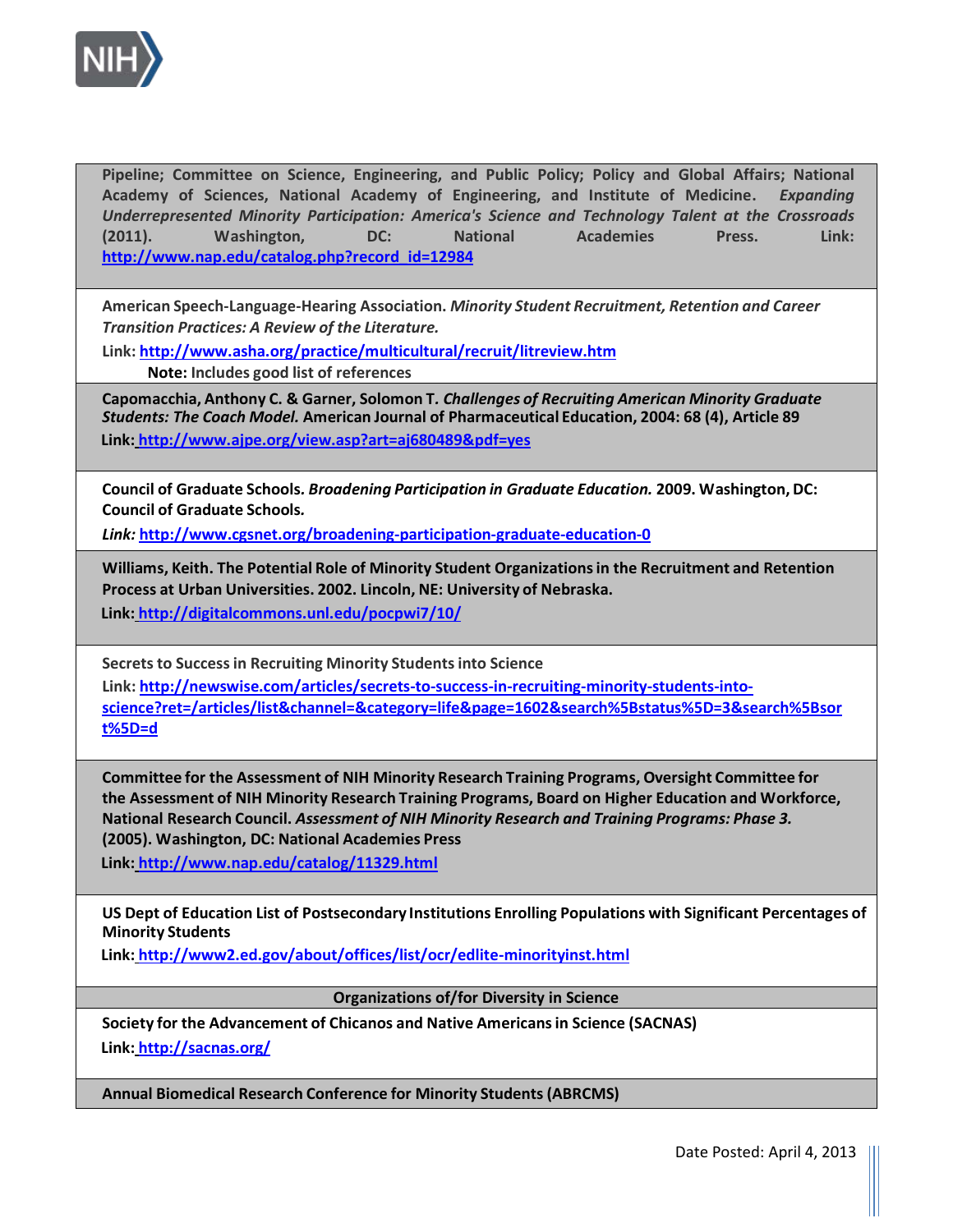

 **Academy of Sciences, National Academy of Engineering, and Institute of Medicine.** *Expanding Underrepresented Minority Participation: America's Science and Technology Talent at the Crossroads*   **(2011). Washington, DC: National Academies Press. Link: Pipeline; Committee on Science, Engineering, and Public Policy; Policy and Global Affairs; National [http://www.nap.edu/catalog.php?record\\_id=12984](http://www.nap.edu/catalog.php?record_id=12984)** 

 **American Speech-Language-Hearing Association.** *Minority Student Recruitment, Retention and Career Transition Practices: A Review of the Literature.* 

**Link[: http://www.asha.org/practice/multicultural/recruit/litreview.htm](http://www.asha.org/practice/multicultural/recruit/litreview.htm)** 

**Note: Includes good list of references** 

 **Capomacchia, Anthony C. & Garner, Solomon T***. Challenges of Recruiting American Minority Graduate Students: The Coach Model.* **American Journal of Pharmaceutical Education, 2004: 68 (4), Article 89 Link[: http://www.ajpe.org/view.asp?art=aj680489&pdf=yes](http://www.ajpe.org/view.asp?art=aj680489&pdf=yes)** 

 **Council of Graduate Schools***. Broadening Participation in Graduate Education.* **2009. Washington, DC: Council of Graduate Schools***.* 

*Link:* **<http://www.cgsnet.org/broadening-participation-graduate-education-0>**

 **Williams, Keith. The Potential Role of Minority Student Organizations in the Recruitment and Retention Process at Urban Universities. 2002. Lincoln, NE: University of Nebraska.** 

 **Link[: http://digitalcommons.unl.edu/pocpwi7/10/](http://digitalcommons.unl.edu/pocpwi7/10/)** 

 **Secrets to Success in Recruiting Minority Students into Science** 

**Link[: http://newswise.com/articles/secrets-to-success-in-recruiting-minority-students-into](http://newswise.com/articles/secrets-to-success-in-recruiting-minority-students-into-science?ret=/articles/list&channel=&category=life&page=1602&search%5Bstatus%5D=3&search%5Bsort%5D=d)[science?ret=/articles/list&channel=&category=life&page=1602&search%5Bstatus%5D=3&search%5Bsor](http://newswise.com/articles/secrets-to-success-in-recruiting-minority-students-into-science?ret=/articles/list&channel=&category=life&page=1602&search%5Bstatus%5D=3&search%5Bsort%5D=d)  [t%5D=d](http://newswise.com/articles/secrets-to-success-in-recruiting-minority-students-into-science?ret=/articles/list&channel=&category=life&page=1602&search%5Bstatus%5D=3&search%5Bsort%5D=d)** 

 **Committee for the Assessment of NIH Minority Research Training Programs, Oversight Committee for the Assessment of NIH Minority Research Training Programs, Board on Higher Education and Workforce, National Research Council.** *Assessment of NIH Minority Research and Training Programs: Phase 3.*   **(2005). Washington, DC: National Academies Press** 

 **Link[: http://www.nap.edu/catalog/11329.html](http://www.nap.edu/catalog/11329.html)** 

 **US Dept of Education List of Postsecondary Institutions Enrolling Populations with Significant Percentages of Minority Students** 

 **Link[: http://www2.ed.gov/about/offices/list/ocr/edlite-minorityinst.html](http://www2.ed.gov/about/offices/list/ocr/edlite-minorityinst.html)** 

**Organizations of/for Diversity in Science** 

 **Society for the Advancement of Chicanos and Native Americans in Science (SACNAS) Link[: http://sacnas.org/](http://sacnas.org/)** 

 **Annual Biomedical Research Conference for Minority Students (ABRCMS)**